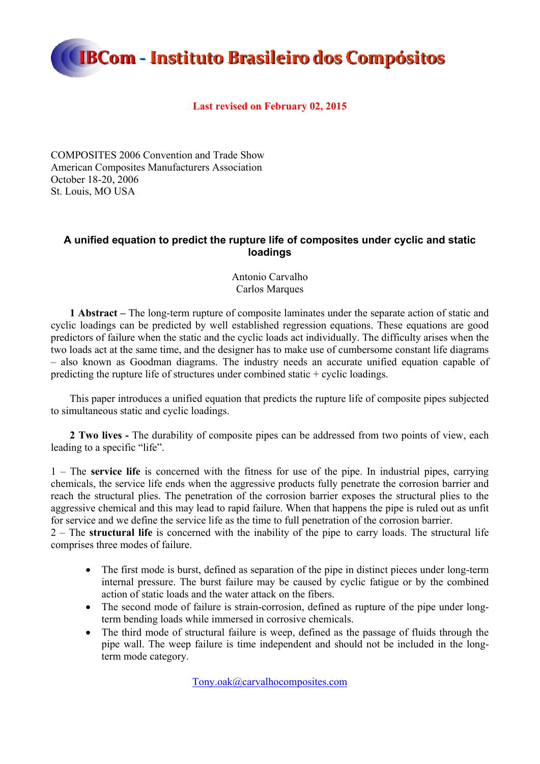

### **Last revised on February 02, 2015**

COMPOSITES 2006 Convention and Trade Show American Composites Manufacturers Association October 18-20, 2006 St. Louis, MO USA

### **A unified equation to predict the rupture life of composites under cyclic and static loadings**

Antonio Carvalho Carlos Marques

**1 Abstract –** The long-term rupture of composite laminates under the separate action of static and cyclic loadings can be predicted by well established regression equations. These equations are good predictors of failure when the static and the cyclic loads act individually. The difficulty arises when the two loads act at the same time, and the designer has to make use of cumbersome constant life diagrams – also known as Goodman diagrams. The industry needs an accurate unified equation capable of predicting the rupture life of structures under combined static + cyclic loadings.

This paper introduces a unified equation that predicts the rupture life of composite pipes subjected to simultaneous static and cyclic loadings.

**2 Two lives -** The durability of composite pipes can be addressed from two points of view, each leading to a specific "life".

1 – The **service life** is concerned with the fitness for use of the pipe. In industrial pipes, carrying chemicals, the service life ends when the aggressive products fully penetrate the corrosion barrier and reach the structural plies. The penetration of the corrosion barrier exposes the structural plies to the aggressive chemical and this may lead to rapid failure. When that happens the pipe is ruled out as unfit for service and we define the service life as the time to full penetration of the corrosion barrier.

2 – The **structural life** is concerned with the inability of the pipe to carry loads. The structural life comprises three modes of failure.

- The first mode is burst, defined as separation of the pipe in distinct pieces under long-term internal pressure. The burst failure may be caused by cyclic fatigue or by the combined action of static loads and the water attack on the fibers.
- The second mode of failure is strain-corrosion, defined as rupture of the pipe under longterm bending loads while immersed in corrosive chemicals.
- The third mode of structural failure is weep, defined as the passage of fluids through the pipe wall. The weep failure is time independent and should not be included in the longterm mode category.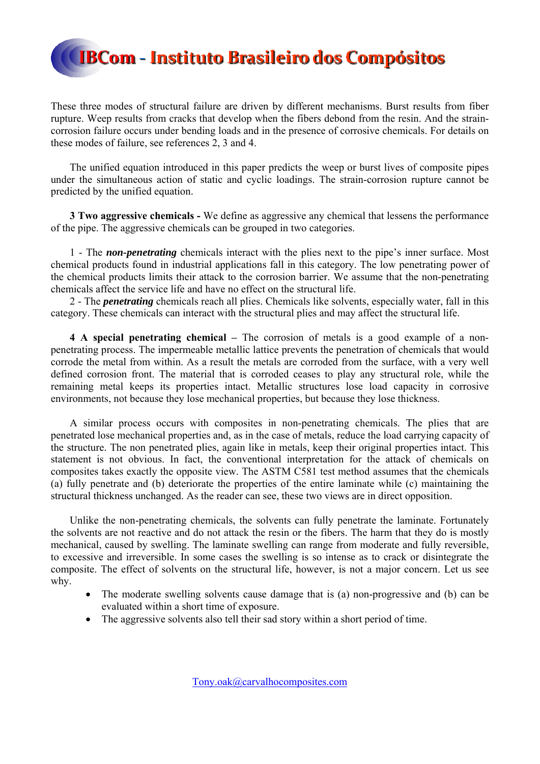These three modes of structural failure are driven by different mechanisms. Burst results from fiber rupture. Weep results from cracks that develop when the fibers debond from the resin. And the straincorrosion failure occurs under bending loads and in the presence of corrosive chemicals. For details on these modes of failure, see references 2, 3 and 4.

The unified equation introduced in this paper predicts the weep or burst lives of composite pipes under the simultaneous action of static and cyclic loadings. The strain-corrosion rupture cannot be predicted by the unified equation.

**3 Two aggressive chemicals -** We define as aggressive any chemical that lessens the performance of the pipe. The aggressive chemicals can be grouped in two categories.

1 - The *non-penetrating* chemicals interact with the plies next to the pipe's inner surface. Most chemical products found in industrial applications fall in this category. The low penetrating power of the chemical products limits their attack to the corrosion barrier. We assume that the non-penetrating chemicals affect the service life and have no effect on the structural life.

2 - The *penetrating* chemicals reach all plies. Chemicals like solvents, especially water, fall in this category. These chemicals can interact with the structural plies and may affect the structural life.

**4 A special penetrating chemical –** The corrosion of metals is a good example of a nonpenetrating process. The impermeable metallic lattice prevents the penetration of chemicals that would corrode the metal from within. As a result the metals are corroded from the surface, with a very well defined corrosion front. The material that is corroded ceases to play any structural role, while the remaining metal keeps its properties intact. Metallic structures lose load capacity in corrosive environments, not because they lose mechanical properties, but because they lose thickness.

A similar process occurs with composites in non-penetrating chemicals. The plies that are penetrated lose mechanical properties and, as in the case of metals, reduce the load carrying capacity of the structure. The non penetrated plies, again like in metals, keep their original properties intact. This statement is not obvious. In fact, the conventional interpretation for the attack of chemicals on composites takes exactly the opposite view. The ASTM C581 test method assumes that the chemicals (a) fully penetrate and (b) deteriorate the properties of the entire laminate while (c) maintaining the structural thickness unchanged. As the reader can see, these two views are in direct opposition.

Unlike the non-penetrating chemicals, the solvents can fully penetrate the laminate. Fortunately the solvents are not reactive and do not attack the resin or the fibers. The harm that they do is mostly mechanical, caused by swelling. The laminate swelling can range from moderate and fully reversible, to excessive and irreversible. In some cases the swelling is so intense as to crack or disintegrate the composite. The effect of solvents on the structural life, however, is not a major concern. Let us see why.

- The moderate swelling solvents cause damage that is (a) non-progressive and (b) can be evaluated within a short time of exposure.
- The aggressive solvents also tell their sad story within a short period of time.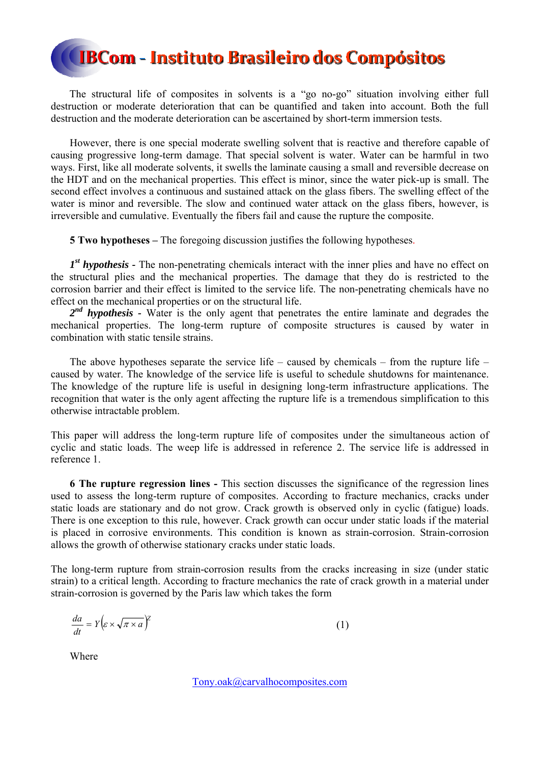The structural life of composites in solvents is a "go no-go" situation involving either full destruction or moderate deterioration that can be quantified and taken into account. Both the full destruction and the moderate deterioration can be ascertained by short-term immersion tests.

However, there is one special moderate swelling solvent that is reactive and therefore capable of causing progressive long-term damage. That special solvent is water. Water can be harmful in two ways. First, like all moderate solvents, it swells the laminate causing a small and reversible decrease on the HDT and on the mechanical properties. This effect is minor, since the water pick-up is small. The second effect involves a continuous and sustained attack on the glass fibers. The swelling effect of the water is minor and reversible. The slow and continued water attack on the glass fibers, however, is irreversible and cumulative. Eventually the fibers fail and cause the rupture the composite.

**5 Two hypotheses –** The foregoing discussion justifies the following hypotheses.

*1st hypothesis -* The non-penetrating chemicals interact with the inner plies and have no effect on the structural plies and the mechanical properties. The damage that they do is restricted to the corrosion barrier and their effect is limited to the service life. The non-penetrating chemicals have no effect on the mechanical properties or on the structural life.

2<sup>nd</sup> hypothesis - Water is the only agent that penetrates the entire laminate and degrades the mechanical properties. The long-term rupture of composite structures is caused by water in combination with static tensile strains.

The above hypotheses separate the service life – caused by chemicals – from the rupture life – caused by water. The knowledge of the service life is useful to schedule shutdowns for maintenance. The knowledge of the rupture life is useful in designing long-term infrastructure applications. The recognition that water is the only agent affecting the rupture life is a tremendous simplification to this otherwise intractable problem.

This paper will address the long-term rupture life of composites under the simultaneous action of cyclic and static loads. The weep life is addressed in reference 2. The service life is addressed in reference 1.

**6 The rupture regression lines -** This section discusses the significance of the regression lines used to assess the long-term rupture of composites. According to fracture mechanics, cracks under static loads are stationary and do not grow. Crack growth is observed only in cyclic (fatigue) loads. There is one exception to this rule, however. Crack growth can occur under static loads if the material is placed in corrosive environments. This condition is known as strain-corrosion. Strain-corrosion allows the growth of otherwise stationary cracks under static loads.

The long-term rupture from strain-corrosion results from the cracks increasing in size (under static strain) to a critical length. According to fracture mechanics the rate of crack growth in a material under strain-corrosion is governed by the Paris law which takes the form

$$
\frac{da}{dt} = Y \left( \varepsilon \times \sqrt{\pi \times a} \right)^{\gamma} \tag{1}
$$

Where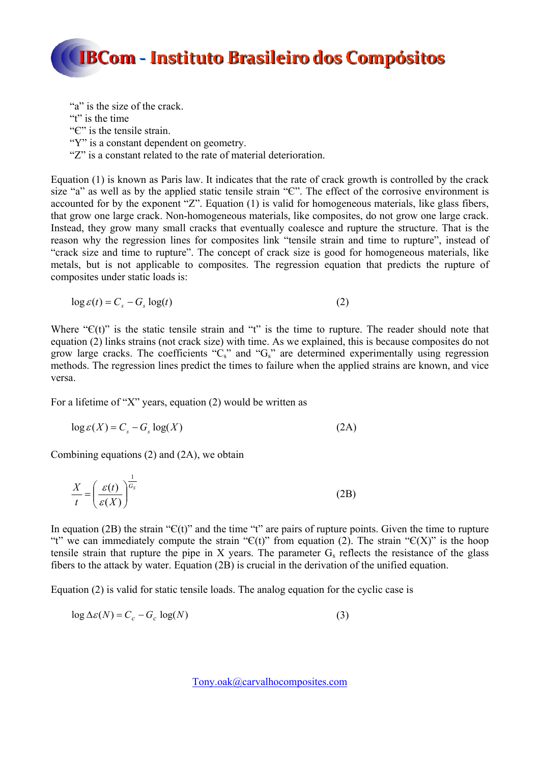

"a" is the size of the crack. "t" is the time" "Є" is the tensile strain. "Y" is a constant dependent on geometry. "Z" is a constant related to the rate of material deterioration.

Equation (1) is known as Paris law. It indicates that the rate of crack growth is controlled by the crack size "a" as well as by the applied static tensile strain " $C$ ". The effect of the corrosive environment is accounted for by the exponent "Z". Equation (1) is valid for homogeneous materials, like glass fibers, that grow one large crack. Non-homogeneous materials, like composites, do not grow one large crack. Instead, they grow many small cracks that eventually coalesce and rupture the structure. That is the reason why the regression lines for composites link "tensile strain and time to rupture", instead of "crack size and time to rupture". The concept of crack size is good for homogeneous materials, like metals, but is not applicable to composites. The regression equation that predicts the rupture of composites under static loads is:

$$
\log \varepsilon(t) = C_s - G_s \log(t) \tag{2}
$$

Where " $C(t)$ " is the static tensile strain and "t" is the time to rupture. The reader should note that equation (2) links strains (not crack size) with time. As we explained, this is because composites do not grow large cracks. The coefficients " $C_s$ " and " $G_s$ " are determined experimentally using regression methods. The regression lines predict the times to failure when the applied strains are known, and vice versa.

For a lifetime of "X" years, equation (2) would be written as

$$
\log \varepsilon(X) = C_s - G_s \log(X) \tag{2A}
$$

Combining equations (2) and (2A), we obtain

$$
\frac{X}{t} = \left(\frac{\varepsilon(t)}{\varepsilon(X)}\right)^{\frac{1}{G_s}}
$$
\n(2B)

In equation (2B) the strain " $C(t)$ " and the time "t" are pairs of rupture points. Given the time to rupture "t" we can immediately compute the strain " $C(t)$ " from equation (2). The strain " $C(X)$ " is the hoop tensile strain that rupture the pipe in X years. The parameter  $G_s$  reflects the resistance of the glass fibers to the attack by water. Equation (2B) is crucial in the derivation of the unified equation.

Equation (2) is valid for static tensile loads. The analog equation for the cyclic case is

$$
\log \Delta \varepsilon(N) = C_c - G_c \log(N) \tag{3}
$$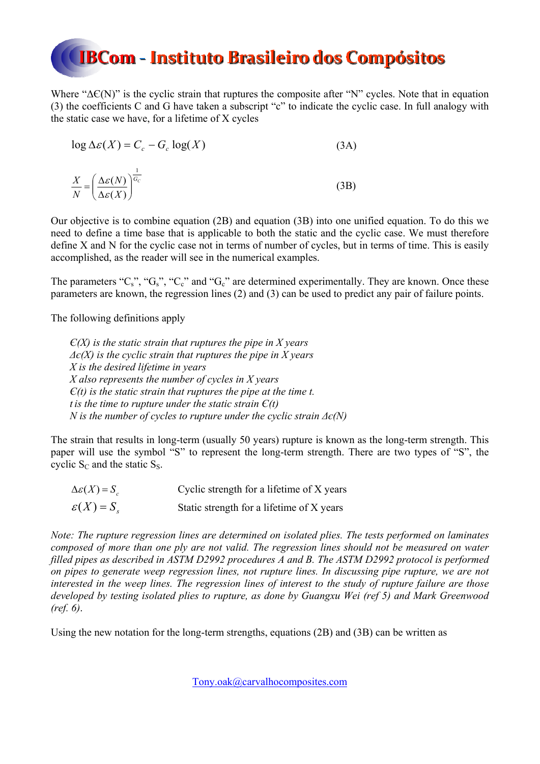Where " $\Delta f(N)$ " is the cyclic strain that ruptures the composite after "N" cycles. Note that in equation (3) the coefficients C and G have taken a subscript "c" to indicate the cyclic case. In full analogy with the static case we have, for a lifetime of X cycles

$$
\log \Delta \varepsilon(X) = C_c - G_c \log(X)
$$
\n
$$
\frac{X}{N} = \left(\frac{\Delta \varepsilon(N)}{\Delta \varepsilon(X)}\right)^{\frac{1}{G_c}}
$$
\n(3B)

Our objective is to combine equation (2B) and equation (3B) into one unified equation. To do this we need to define a time base that is applicable to both the static and the cyclic case. We must therefore define X and N for the cyclic case not in terms of number of cycles, but in terms of time. This is easily accomplished, as the reader will see in the numerical examples.

The parameters " $C_s$ ", " $G_s$ ", " $C_c$ " and " $G_c$ " are determined experimentally. They are known. Once these parameters are known, the regression lines (2) and (3) can be used to predict any pair of failure points.

The following definitions apply

*Є(X) is the static strain that ruptures the pipe in X years Δє(X) is the cyclic strain that ruptures the pipe in X years X is the desired lifetime in years X also represents the number of cycles in X years Є(t) is the static strain that ruptures the pipe at the time t. t is the time to rupture under the static strain*  $E(t)$ *N is the number of cycles to rupture under the cyclic strain Δє(N)*

The strain that results in long-term (usually 50 years) rupture is known as the long-term strength. This paper will use the symbol "S" to represent the long-term strength. There are two types of "S", the cyclic  $S_C$  and the static  $S_S$ .

| $\Delta \varepsilon(X) = S_c$ | Cyclic strength for a lifetime of X years |
|-------------------------------|-------------------------------------------|
| $\varepsilon(X) = S_{s}$      | Static strength for a lifetime of X years |

*Note: The rupture regression lines are determined on isolated plies. The tests performed on laminates composed of more than one ply are not valid. The regression lines should not be measured on water filled pipes as described in ASTM D2992 procedures A and B. The ASTM D2992 protocol is performed on pipes to generate weep regression lines, not rupture lines. In discussing pipe rupture, we are not interested in the weep lines. The regression lines of interest to the study of rupture failure are those developed by testing isolated plies to rupture, as done by Guangxu Wei (ref 5) and Mark Greenwood (ref. 6)*.

Using the new notation for the long-term strengths, equations (2B) and (3B) can be written as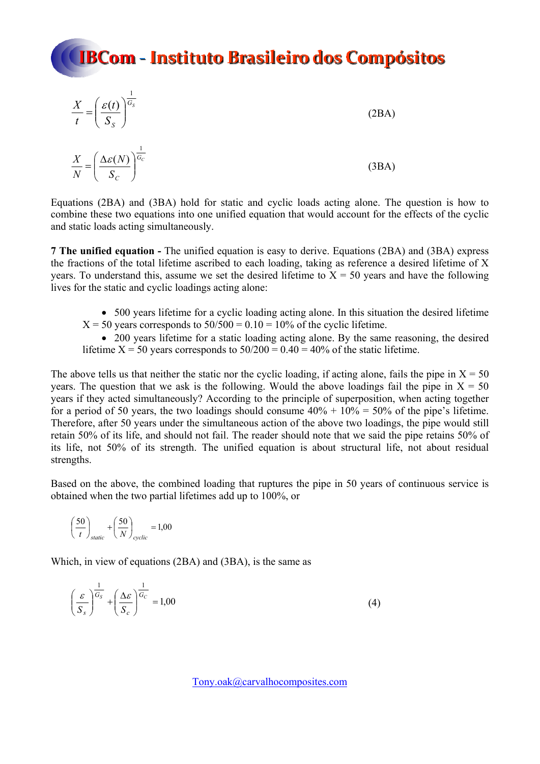## **IBCom - Instituto Brasileiro dos Compósitos** 1  $\setminus$  $X \in (\varepsilon(t))^{G_s}$

$$
\frac{X}{t} = \left(\frac{\mathcal{E}(t)}{S_S}\right)^{\overline{G_S}}
$$
\n
$$
\frac{X}{N} = \left(\frac{\Delta \mathcal{E}(N)}{S_C}\right)^{\frac{1}{G_C}}
$$
\n(3BA)

Equations (2BA) and (3BA) hold for static and cyclic loads acting alone. The question is how to combine these two equations into one unified equation that would account for the effects of the cyclic and static loads acting simultaneously.

**7 The unified equation -** The unified equation is easy to derive. Equations (2BA) and (3BA) express the fractions of the total lifetime ascribed to each loading, taking as reference a desired lifetime of X years. To understand this, assume we set the desired lifetime to  $X = 50$  years and have the following lives for the static and cyclic loadings acting alone:

- 500 years lifetime for a cyclic loading acting alone. In this situation the desired lifetime
- $X = 50$  years corresponds to  $50/500 = 0.10 = 10\%$  of the cyclic lifetime.

 200 years lifetime for a static loading acting alone. By the same reasoning, the desired lifetime  $X = 50$  years corresponds to  $50/200 = 0.40 = 40\%$  of the static lifetime.

The above tells us that neither the static nor the cyclic loading, if acting alone, fails the pipe in  $X = 50$ years. The question that we ask is the following. Would the above loadings fail the pipe in  $X = 50$ years if they acted simultaneously? According to the principle of superposition, when acting together for a period of 50 years, the two loadings should consume  $40\% + 10\% = 50\%$  of the pipe's lifetime. Therefore, after 50 years under the simultaneous action of the above two loadings, the pipe would still retain 50% of its life, and should not fail. The reader should note that we said the pipe retains 50% of its life, not 50% of its strength. The unified equation is about structural life, not about residual strengths.

Based on the above, the combined loading that ruptures the pipe in 50 years of continuous service is obtained when the two partial lifetimes add up to 100%, or

$$
\left(\frac{50}{t}\right)_{static} + \left(\frac{50}{N}\right)_{cyclic} = 1,00
$$

Which, in view of equations (2BA) and (3BA), is the same as

$$
\left(\frac{\varepsilon}{S_s}\right)^{\frac{1}{G_s}} + \left(\frac{\Delta\varepsilon}{S_c}\right)^{\frac{1}{G_c}} = 1,00\tag{4}
$$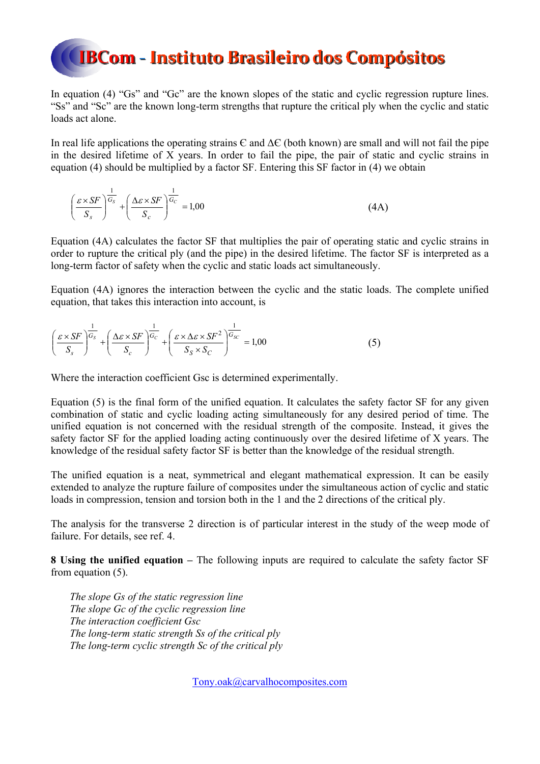In equation (4) "Gs" and "Gc" are the known slopes of the static and cyclic regression rupture lines. "Ss" and "Sc" are the known long-term strengths that rupture the critical ply when the cyclic and static loads act alone.

In real life applications the operating strains  $\epsilon$  and  $\Delta \epsilon$  (both known) are small and will not fail the pipe in the desired lifetime of X years. In order to fail the pipe, the pair of static and cyclic strains in equation (4) should be multiplied by a factor SF. Entering this SF factor in (4) we obtain

$$
\left(\frac{\varepsilon \times SF}{S_s}\right)^{\frac{1}{G_s}} + \left(\frac{\Delta \varepsilon \times SF}{S_c}\right)^{\frac{1}{G_c}} = 1,00\tag{4A}
$$

Equation (4A) calculates the factor SF that multiplies the pair of operating static and cyclic strains in order to rupture the critical ply (and the pipe) in the desired lifetime. The factor SF is interpreted as a long-term factor of safety when the cyclic and static loads act simultaneously.

Equation (4A) ignores the interaction between the cyclic and the static loads. The complete unified equation, that takes this interaction into account, is

$$
\left(\frac{\varepsilon \times SF}{S_s}\right)^{\frac{1}{G_s}} + \left(\frac{\Delta \varepsilon \times SF}{S_c}\right)^{\frac{1}{G_c}} + \left(\frac{\varepsilon \times \Delta \varepsilon \times SF^2}{S_s \times S_c}\right)^{\frac{1}{G_{SC}}} = 1,00
$$
\n(5)

Where the interaction coefficient Gsc is determined experimentally.

Equation (5) is the final form of the unified equation. It calculates the safety factor SF for any given combination of static and cyclic loading acting simultaneously for any desired period of time. The unified equation is not concerned with the residual strength of the composite. Instead, it gives the safety factor SF for the applied loading acting continuously over the desired lifetime of X years. The knowledge of the residual safety factor SF is better than the knowledge of the residual strength.

The unified equation is a neat, symmetrical and elegant mathematical expression. It can be easily extended to analyze the rupture failure of composites under the simultaneous action of cyclic and static loads in compression, tension and torsion both in the 1 and the 2 directions of the critical ply.

The analysis for the transverse 2 direction is of particular interest in the study of the weep mode of failure. For details, see ref. 4.

**8 Using the unified equation –** The following inputs are required to calculate the safety factor SF from equation (5).

*The slope Gs of the static regression line The slope Gc of the cyclic regression line The interaction coefficient Gsc The long-term static strength Ss of the critical ply The long-term cyclic strength Sc of the critical ply*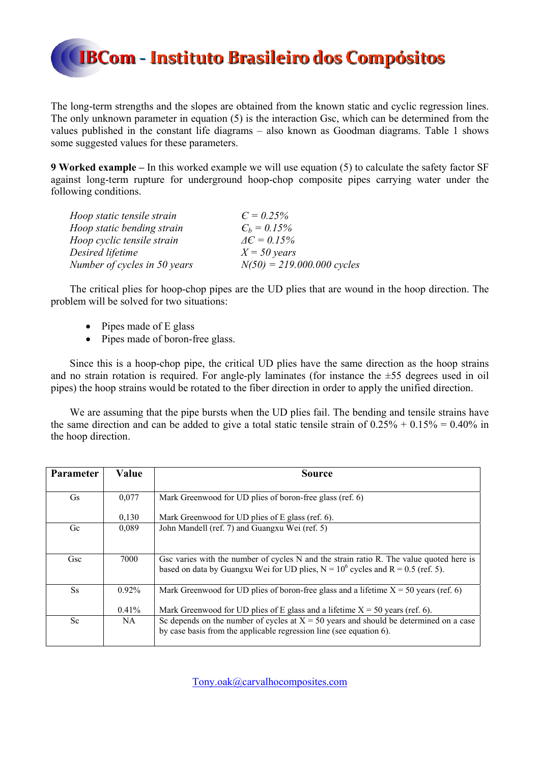The long-term strengths and the slopes are obtained from the known static and cyclic regression lines. The only unknown parameter in equation (5) is the interaction Gsc, which can be determined from the values published in the constant life diagrams – also known as Goodman diagrams. Table 1 shows some suggested values for these parameters.

**9 Worked example –** In this worked example we will use equation (5) to calculate the safety factor SF against long-term rupture for underground hoop-chop composite pipes carrying water under the following conditions.

| Hoop static tensile strain   | $C = 0.25\%$                 |
|------------------------------|------------------------------|
| Hoop static bending strain   | $C_h = 0.15\%$               |
| Hoop cyclic tensile strain   | $\Delta \epsilon = 0.15\%$   |
| Desired lifetime             | $X = 50$ years               |
| Number of cycles in 50 years | $N(50) = 219.000.000$ cycles |

The critical plies for hoop-chop pipes are the UD plies that are wound in the hoop direction. The problem will be solved for two situations:

- $\bullet$  Pipes made of E glass
- Pipes made of boron-free glass.

Since this is a hoop-chop pipe, the critical UD plies have the same direction as the hoop strains and no strain rotation is required. For angle-ply laminates (for instance the  $\pm 55$  degrees used in oil pipes) the hoop strains would be rotated to the fiber direction in order to apply the unified direction.

We are assuming that the pipe bursts when the UD plies fail. The bending and tensile strains have the same direction and can be added to give a total static tensile strain of  $0.25\% + 0.15\% = 0.40\%$  in the hoop direction.

| Parameter | Value    | <b>Source</b>                                                                           |
|-----------|----------|-----------------------------------------------------------------------------------------|
|           |          |                                                                                         |
| Gs        | 0,077    | Mark Greenwood for UD plies of boron-free glass (ref. 6)                                |
|           |          |                                                                                         |
|           | 0,130    | Mark Greenwood for UD plies of E glass (ref. 6).                                        |
| Gc        | 0,089    | John Mandell (ref. 7) and Guangxu Wei (ref. 5)                                          |
|           |          |                                                                                         |
|           |          |                                                                                         |
| Gsc       | 7000     |                                                                                         |
|           |          | Gsc varies with the number of cycles N and the strain ratio R. The value quoted here is |
|           |          | based on data by Guangxu Wei for UD plies, $N = 10^6$ cycles and $R = 0.5$ (ref. 5).    |
|           |          |                                                                                         |
| <b>Ss</b> | $0.92\%$ | Mark Greenwood for UD plies of boron-free glass and a lifetime $X = 50$ years (ref. 6)  |
|           |          |                                                                                         |
|           | $0.41\%$ | Mark Greenwood for UD plies of E glass and a lifetime $X = 50$ years (ref. 6).          |
| Sc        | NA.      | Sc depends on the number of cycles at $X = 50$ years and should be determined on a case |
|           |          | by case basis from the applicable regression line (see equation 6).                     |
|           |          |                                                                                         |
|           |          |                                                                                         |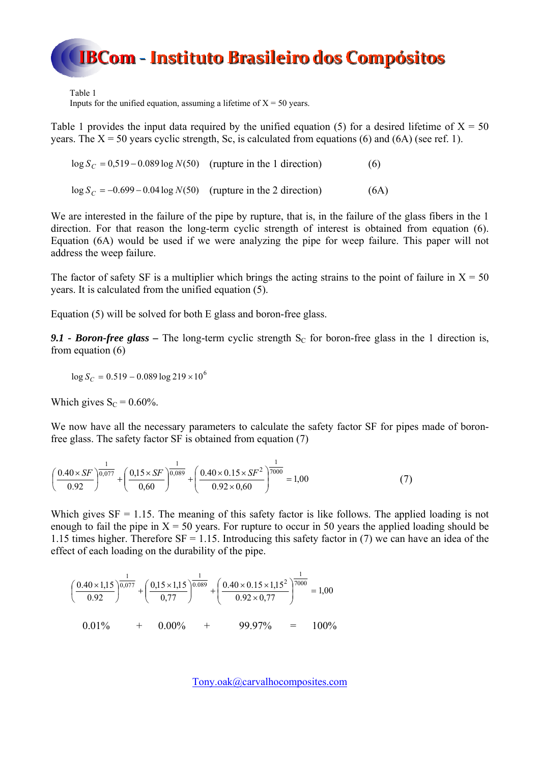Table 1

Inputs for the unified equation, assuming a lifetime of  $X = 50$  years.

Table 1 provides the input data required by the unified equation (5) for a desired lifetime of  $X = 50$ years. The  $X = 50$  years cyclic strength, Sc, is calculated from equations (6) and (6A) (see ref. 1).

 $\log S_C = 0.519 - 0.089 \log N(50)$  (rupture in the 1 direction) (6)

 $\log S_C = -0.699 - 0.04 \log N(50)$  (rupture in the 2 direction) (6A)

We are interested in the failure of the pipe by rupture, that is, in the failure of the glass fibers in the 1 direction. For that reason the long-term cyclic strength of interest is obtained from equation (6). Equation (6A) would be used if we were analyzing the pipe for weep failure. This paper will not address the weep failure.

The factor of safety SF is a multiplier which brings the acting strains to the point of failure in  $X = 50$ years. It is calculated from the unified equation (5).

Equation (5) will be solved for both E glass and boron-free glass.

**9.1 - Boron-free glass** – The long-term cyclic strength  $S_c$  for boron-free glass in the 1 direction is, from equation (6)

 $\log S_C = 0.519 - 0.089 \log 219 \times 10^6$ 

Which gives  $S_C = 0.60\%$ .

We now have all the necessary parameters to calculate the safety factor SF for pipes made of boronfree glass. The safety factor SF is obtained from equation (7)

$$
\left(\frac{0.40 \times SF}{0.92}\right)^{\frac{1}{0.077}} + \left(\frac{0.15 \times SF}{0.60}\right)^{\frac{1}{0.089}} + \left(\frac{0.40 \times 0.15 \times SF^2}{0.92 \times 0.60}\right)^{\frac{1}{7000}} = 1.00\tag{7}
$$

Which gives  $SF = 1.15$ . The meaning of this safety factor is like follows. The applied loading is not enough to fail the pipe in  $X = 50$  years. For rupture to occur in 50 years the applied loading should be 1.15 times higher. Therefore  $SF = 1.15$ . Introducing this safety factor in (7) we can have an idea of the effect of each loading on the durability of the pipe.

$$
\left(\frac{0.40 \times 1.15}{0.92}\right)^{\frac{1}{0.077}} + \left(\frac{0.15 \times 1.15}{0.77}\right)^{\frac{1}{0.089}} + \left(\frac{0.40 \times 0.15 \times 1.15^2}{0.92 \times 0.77}\right)^{\frac{1}{7000}} = 1,00
$$
  
0.01% + 0.00% + 99.97% = 100%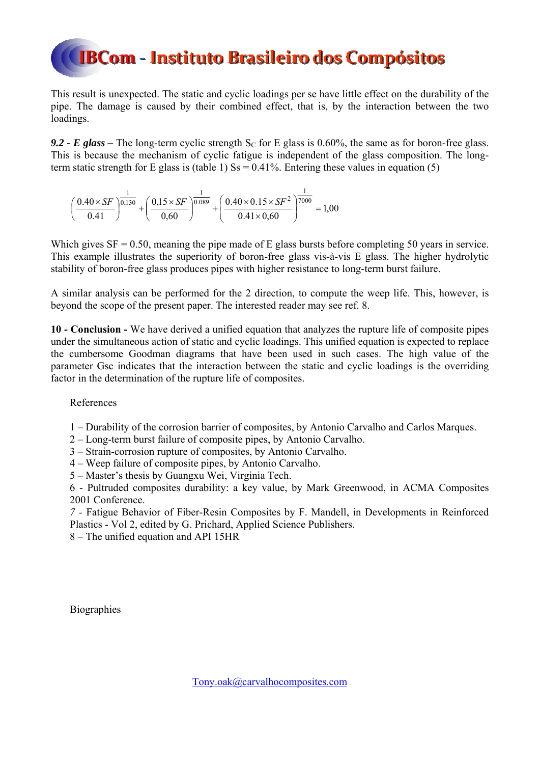This result is unexpected. The static and cyclic loadings per se have little effect on the durability of the pipe. The damage is caused by their combined effect, that is, by the interaction between the two loadings.

**9.2 - E glass –** The long-term cyclic strength  $S_C$  for E glass is 0.60%, the same as for boron-free glass. This is because the mechanism of cyclic fatigue is independent of the glass composition. The longterm static strength for E glass is (table 1)  $\text{Ss} = 0.41\%$ . Entering these values in equation (5)

$$
\left(\frac{0.40 \times SF}{0.41}\right)^{\frac{1}{0,130}} + \left(\frac{0.15 \times SF}{0.60}\right)^{\frac{1}{0.089}} + \left(\frac{0.40 \times 0.15 \times SF^2}{0.41 \times 0.60}\right)^{\frac{1}{7000}} = 1,00
$$

Which gives  $SF = 0.50$ , meaning the pipe made of E glass bursts before completing 50 years in service. This example illustrates the superiority of boron-free glass vis-à-vis E glass. The higher hydrolytic stability of boron-free glass produces pipes with higher resistance to long-term burst failure.

A similar analysis can be performed for the 2 direction, to compute the weep life. This, however, is beyond the scope of the present paper. The interested reader may see ref. 8.

**10 - Conclusion -** We have derived a unified equation that analyzes the rupture life of composite pipes under the simultaneous action of static and cyclic loadings. This unified equation is expected to replace the cumbersome Goodman diagrams that have been used in such cases. The high value of the parameter Gsc indicates that the interaction between the static and cyclic loadings is the overriding factor in the determination of the rupture life of composites.

References

- 1 Durability of the corrosion barrier of composites, by Antonio Carvalho and Carlos Marques.
- 2 Long-term burst failure of composite pipes, by Antonio Carvalho.
- 3 Strain-corrosion rupture of composites, by Antonio Carvalho.
- 4 Weep failure of composite pipes, by Antonio Carvalho.
- 5 Master's thesis by Guangxu Wei, Virginia Tech.

6 - Pultruded composites durability: a key value, by Mark Greenwood, in ACMA Composites 2001 Conference.

*7 -* Fatigue Behavior of Fiber-Resin Composites by F. Mandell, in Developments in Reinforced Plastics - Vol 2, edited by G. Prichard, Applied Science Publishers.

8 – The unified equation and API 15HR

**Biographies**